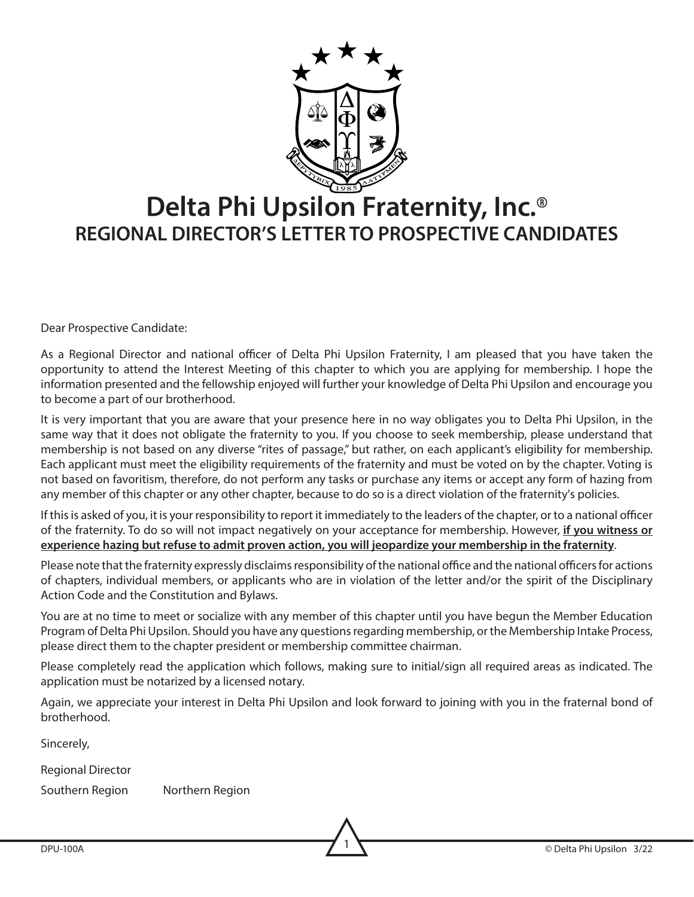

# **Delta Phi Upsilon Fraternity, Inc.**® **REGIONAL DIRECTOR'S LETTER TO PROSPECTIVE CANDIDATES**

Dear Prospective Candidate:

As a Regional Director and national officer of Delta Phi Upsilon Fraternity, I am pleased that you have taken the opportunity to attend the Interest Meeting of this chapter to which you are applying for membership. I hope the information presented and the fellowship enjoyed will further your knowledge of Delta Phi Upsilon and encourage you to become a part of our brotherhood.

It is very important that you are aware that your presence here in no way obligates you to Delta Phi Upsilon, in the same way that it does not obligate the fraternity to you. If you choose to seek membership, please understand that membership is not based on any diverse "rites of passage," but rather, on each applicant's eligibility for membership. Each applicant must meet the eligibility requirements of the fraternity and must be voted on by the chapter. Voting is not based on favoritism, therefore, do not perform any tasks or purchase any items or accept any form of hazing from any member of this chapter or any other chapter, because to do so is a direct violation of the fraternity's policies.

If this is asked of you, it is your responsibility to report it immediately to the leaders of the chapter, or to a national officer of the fraternity. To do so will not impact negatively on your acceptance for membership. However, **if you witness or experience hazing but refuse to admit proven action, you will jeopardize your membership in the fraternity**.

Please note that the fraternity expressly disclaims responsibility of the national office and the national officers for actions of chapters, individual members, or applicants who are in violation of the letter and/or the spirit of the Disciplinary Action Code and the Constitution and Bylaws.

You are at no time to meet or socialize with any member of this chapter until you have begun the Member Education Program of Delta Phi Upsilon. Should you have any questions regarding membership, or the Membership Intake Process, please direct them to the chapter president or membership committee chairman.

Please completely read the application which follows, making sure to initial/sign all required areas as indicated. The application must be notarized by a licensed notary.

Again, we appreciate your interest in Delta Phi Upsilon and look forward to joining with you in the fraternal bond of brotherhood.

Sincerely,

Regional Director

Southern Region Northern Region

DPU-100A © Delta Phi Upsilon 3/22 1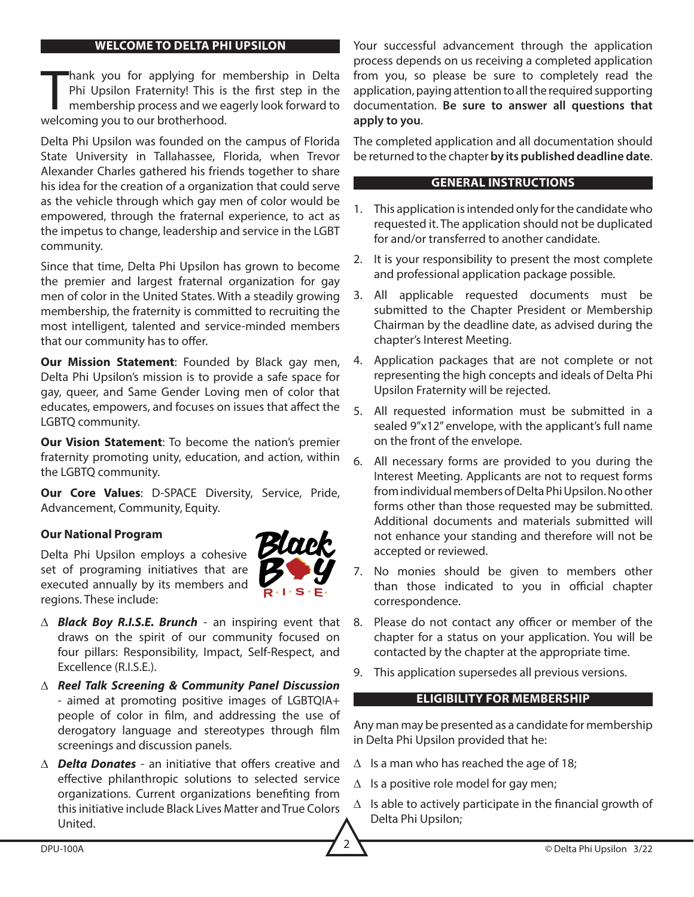#### **WELCOME TO DELTA PHI UPSILON**

hank you for applying for r<br>Phi Upsilon Fraternity! This is<br>membership process and we e<br>welcoming you to our brotherhood. hank you for applying for membership in Delta Phi Upsilon Fraternity! This is the first step in the membership process and we eagerly look forward to

Delta Phi Upsilon was founded on the campus of Florida State University in Tallahassee, Florida, when Trevor Alexander Charles gathered his friends together to share his idea for the creation of a organization that could serve as the vehicle through which gay men of color would be empowered, through the fraternal experience, to act as the impetus to change, leadership and service in the LGBT community.

Since that time, Delta Phi Upsilon has grown to become the premier and largest fraternal organization for gay men of color in the United States. With a steadily growing membership, the fraternity is committed to recruiting the most intelligent, talented and service-minded members that our community has to offer.

**Our Mission Statement**: Founded by Black gay men, Delta Phi Upsilon's mission is to provide a safe space for gay, queer, and Same Gender Loving men of color that educates, empowers, and focuses on issues that affect the LGBTQ community.

**Our Vision Statement**: To become the nation's premier fraternity promoting unity, education, and action, within the LGBTQ community.

**Our Core Values**: D-SPACE Diversity, Service, Pride, Advancement, Community, Equity.

#### **Our National Program**

Delta Phi Upsilon employs a cohesive set of programing initiatives that are executed annually by its members and regions. These include:



- ∆ *Black Boy R.I.S.E. Brunch* an inspiring event that draws on the spirit of our community focused on four pillars: Responsibility, Impact, Self-Respect, and Excellence (R.I.S.E.).
- ∆ *Reel Talk Screening & Community Panel Discussion* - aimed at promoting positive images of LGBTQIA+ people of color in film, and addressing the use of derogatory language and stereotypes through film screenings and discussion panels.
- ∆ *Delta Donates* an initiative that offers creative and effective philanthropic solutions to selected service organizations. Current organizations benefiting from this initiative include Black Lives Matter and True Colors United.

Your successful advancement through the application process depends on us receiving a completed application from you, so please be sure to completely read the application, paying attention to all the required supporting documentation. **Be sure to answer all questions that apply to you**.

The completed application and all documentation should be returned to the chapter **by its published deadline date**.

#### **GENERAL INSTRUCTIONS**

- 1. This application is intended only for the candidate who requested it. The application should not be duplicated for and/or transferred to another candidate.
- 2. It is your responsibility to present the most complete and professional application package possible.
- 3. All applicable requested documents must be submitted to the Chapter President or Membership Chairman by the deadline date, as advised during the chapter's Interest Meeting.
- 4. Application packages that are not complete or not representing the high concepts and ideals of Delta Phi Upsilon Fraternity will be rejected.
- 5. All requested information must be submitted in a sealed 9"x12" envelope, with the applicant's full name on the front of the envelope.
- 6. All necessary forms are provided to you during the Interest Meeting. Applicants are not to request forms from individual members of Delta Phi Upsilon. No other forms other than those requested may be submitted. Additional documents and materials submitted will not enhance your standing and therefore will not be accepted or reviewed.
- 7. No monies should be given to members other than those indicated to you in official chapter correspondence.
- 8. Please do not contact any officer or member of the chapter for a status on your application. You will be contacted by the chapter at the appropriate time.
- 9. This application supersedes all previous versions.

#### **ELIGIBILITY FOR MEMBERSHIP**

Any man may be presented as a candidate for membership in Delta Phi Upsilon provided that he:

- $\Delta$  Is a man who has reached the age of 18;
- $\Delta$  Is a positive role model for gay men;
- ∆ Is able to actively participate in the financial growth of Delta Phi Upsilon;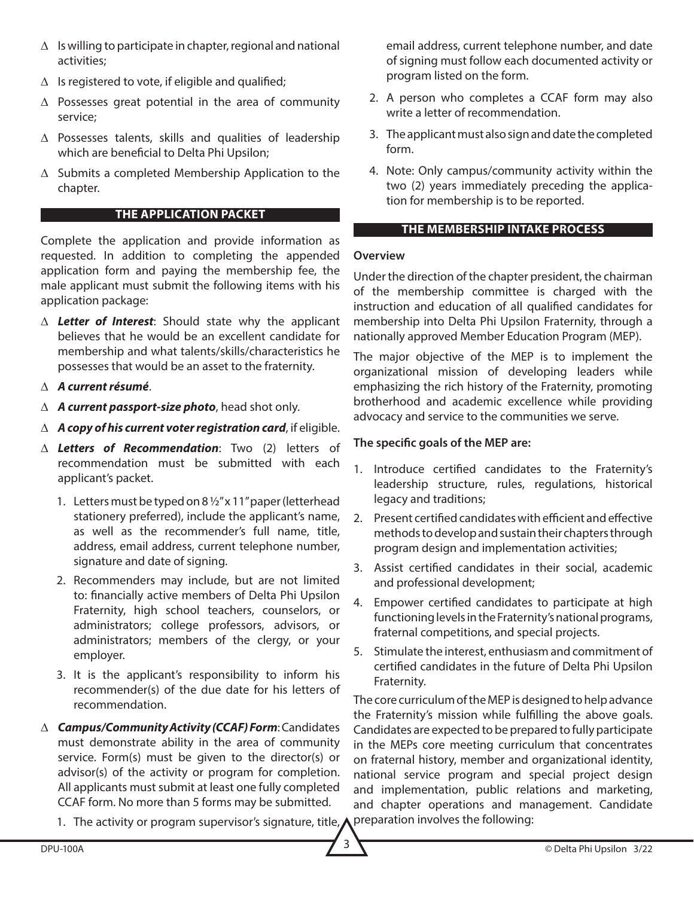- ∆ Is willing to participate in chapter, regional and national activities;
- ∆ Is registered to vote, if eligible and qualified;
- ∆ Possesses great potential in the area of community service;
- ∆ Possesses talents, skills and qualities of leadership which are beneficial to Delta Phi Upsilon;
- ∆ Submits a completed Membership Application to the chapter.

## **THE APPLICATION PACKET**

Complete the application and provide information as requested. In addition to completing the appended application form and paying the membership fee, the male applicant must submit the following items with his application package:

- ∆ *Letter of Interest*: Should state why the applicant believes that he would be an excellent candidate for membership and what talents/skills/characteristics he possesses that would be an asset to the fraternity.
- ∆ *A current résumé*.
- ∆ *A current passport-size photo*, head shot only.
- ∆ *A copy of his current voter registration card*, if eligible.
- ∆ *Letters of Recommendation*: Two (2) letters of recommendation must be submitted with each applicant's packet.
	- 1. Letters must be typed on 8 ½" x 11" paper (letterhead stationery preferred), include the applicant's name, as well as the recommender's full name, title, address, email address, current telephone number, signature and date of signing.
	- 2. Recommenders may include, but are not limited to: financially active members of Delta Phi Upsilon Fraternity, high school teachers, counselors, or administrators; college professors, advisors, or administrators; members of the clergy, or your employer.
	- 3. It is the applicant's responsibility to inform his recommender(s) of the due date for his letters of recommendation.
- ∆ *Campus/Community Activity (CCAF) Form*: Candidates must demonstrate ability in the area of community service. Form(s) must be given to the director(s) or advisor(s) of the activity or program for completion. All applicants must submit at least one fully completed CCAF form. No more than 5 forms may be submitted.
	- 1. The activity or program supervisor's signature, title,

email address, current telephone number, and date of signing must follow each documented activity or program listed on the form.

- 2. A person who completes a CCAF form may also write a letter of recommendation.
- 3. The applicant must also sign and date the completed form.
- 4. Note: Only campus/community activity within the two (2) years immediately preceding the application for membership is to be reported.

## **THE MEMBERSHIP INTAKE PROCESS**

## **Overview**

Under the direction of the chapter president, the chairman of the membership committee is charged with the instruction and education of all qualified candidates for membership into Delta Phi Upsilon Fraternity, through a nationally approved Member Education Program (MEP).

The major objective of the MEP is to implement the organizational mission of developing leaders while emphasizing the rich history of the Fraternity, promoting brotherhood and academic excellence while providing advocacy and service to the communities we serve.

## **The specific goals of the MEP are:**

- 1. Introduce certified candidates to the Fraternity's leadership structure, rules, regulations, historical legacy and traditions;
- 2. Present certified candidates with efficient and effective methods to develop and sustain their chapters through program design and implementation activities;
- 3. Assist certified candidates in their social, academic and professional development;
- 4. Empower certified candidates to participate at high functioning levels in the Fraternity's national programs, fraternal competitions, and special projects.
- 5. Stimulate the interest, enthusiasm and commitment of certified candidates in the future of Delta Phi Upsilon Fraternity.

The core curriculum of the MEP is designed to help advance the Fraternity's mission while fulfilling the above goals. Candidates are expected to be prepared to fully participate in the MEPs core meeting curriculum that concentrates on fraternal history, member and organizational identity, national service program and special project design and implementation, public relations and marketing, and chapter operations and management. Candidate preparation involves the following: